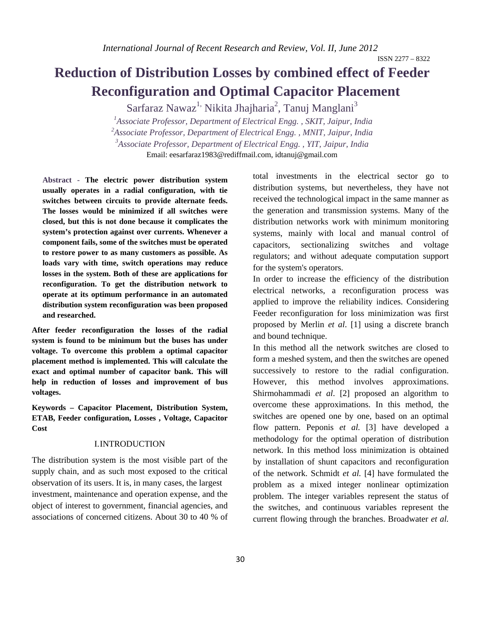ISSN 2277 – 8322

# **Reduction of Distribution Losses by combined effect of Feeder Reconfiguration and Optimal Capacitor Placement**

Sarfaraz Nawaz<sup>1,</sup> Nikita Jhajharia<sup>2</sup>, Tanuj Manglani<sup>3</sup>

<sup>1</sup> Associate Professor, Department of Electrical Engg., SKIT, Jaipur, India *2 Associate Professor, Department of Electrical Engg. , MNIT, Jaipur, India 3 Associate Professor, Department of Electrical Engg. , YIT, Jaipur, India*  Email: eesarfaraz1983@rediffmail.com, idtanuj@gmail.com

 **Abstract - The electric power distribution system usually operates in a radial configuration, with tie switches between circuits to provide alternate feeds. The losses would be minimized if all switches were closed, but this is not done because it complicates the system's protection against over currents. Whenever a component fails, some of the switches must be operated to restore power to as many customers as possible. As loads vary with time, switch operations may reduce losses in the system. Both of these are applications for reconfiguration. To get the distribution network to operate at its optimum performance in an automated distribution system reconfiguration was been proposed and researched.** 

**After feeder reconfiguration the losses of the radial system is found to be minimum but the buses has under voltage. To overcome this problem a optimal capacitor placement method is implemented. This will calculate the exact and optimal number of capacitor bank. This will help in reduction of losses and improvement of bus voltages.** 

**Keywords – Capacitor Placement, Distribution System, ETAB, Feeder configuration, Losses , Voltage, Capacitor Cost** 

#### I.INTRODUCTION

The distribution system is the most visible part of the supply chain, and as such most exposed to the critical observation of its users. It is, in many cases, the largest investment, maintenance and operation expense, and the object of interest to government, financial agencies, and associations of concerned citizens. About 30 to 40 % of

total investments in the electrical sector go to distribution systems, but nevertheless, they have not received the technological impact in the same manner as the generation and transmission systems. Many of the distribution networks work with minimum monitoring systems, mainly with local and manual control of capacitors, sectionalizing switches and voltage regulators; and without adequate computation support for the system's operators.

In order to increase the efficiency of the distribution electrical networks, a reconfiguration process was applied to improve the reliability indices. Considering Feeder reconfiguration for loss minimization was first proposed by Merlin *et al*. [1] using a discrete branch and bound technique.

In this method all the network switches are closed to form a meshed system, and then the switches are opened successively to restore to the radial configuration. However, this method involves approximations. Shirmohammadi *et al*. [2] proposed an algorithm to overcome these approximations. In this method, the switches are opened one by one, based on an optimal flow pattern. Peponis *et al.* [3] have developed a methodology for the optimal operation of distribution network. In this method loss minimization is obtained by installation of shunt capacitors and reconfiguration of the network. Schmidt *et al.* [4] have formulated the problem as a mixed integer nonlinear optimization problem. The integer variables represent the status of the switches, and continuous variables represent the current flowing through the branches. Broadwater *et al.*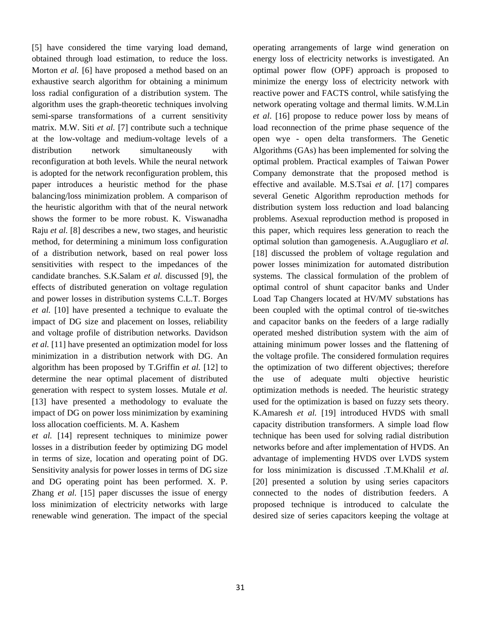[5] have considered the time varying load demand, obtained through load estimation, to reduce the loss. Morton *et al.* [6] have proposed a method based on an exhaustive search algorithm for obtaining a minimum loss radial configuration of a distribution system. The algorithm uses the graph-theoretic techniques involving semi-sparse transformations of a current sensitivity matrix. M.W. Siti *et al.* [7] contribute such a technique at the low-voltage and medium-voltage levels of a distribution network simultaneously with reconfiguration at both levels. While the neural network is adopted for the network reconfiguration problem, this paper introduces a heuristic method for the phase balancing/loss minimization problem. A comparison of the heuristic algorithm with that of the neural network shows the former to be more robust. K. Viswanadha Raju *et al.* [8] describes a new, two stages, and heuristic method, for determining a minimum loss configuration of a distribution network, based on real power loss sensitivities with respect to the impedances of the candidate branches. S.K.Salam *et al.* discussed [9], the effects of distributed generation on voltage regulation and power losses in distribution systems C.L.T. Borges *et al.* [10] have presented a technique to evaluate the impact of DG size and placement on losses, reliability and voltage profile of distribution networks. Davidson *et al.* [11] have presented an optimization model for loss minimization in a distribution network with DG. An algorithm has been proposed by T.Griffin *et al.* [12] to determine the near optimal placement of distributed generation with respect to system losses. Mutale *et al.*  [13] have presented a methodology to evaluate the impact of DG on power loss minimization by examining loss allocation coefficients. M. A. Kashem

*et al.* [14] represent techniques to minimize power losses in a distribution feeder by optimizing DG model in terms of size, location and operating point of DG. Sensitivity analysis for power losses in terms of DG size and DG operating point has been performed. X. P. Zhang *et al.* [15] paper discusses the issue of energy loss minimization of electricity networks with large renewable wind generation. The impact of the special

operating arrangements of large wind generation on energy loss of electricity networks is investigated. An optimal power flow (OPF) approach is proposed to minimize the energy loss of electricity network with reactive power and FACTS control, while satisfying the network operating voltage and thermal limits. W.M.Lin *et al*. [16] propose to reduce power loss by means of load reconnection of the prime phase sequence of the open wye - open delta transformers. The Genetic Algorithms (GAs) has been implemented for solving the optimal problem. Practical examples of Taiwan Power Company demonstrate that the proposed method is effective and available. M.S.Tsai *et al.* [17] compares several Genetic Algorithm reproduction methods for distribution system loss reduction and load balancing problems. Asexual reproduction method is proposed in this paper, which requires less generation to reach the optimal solution than gamogenesis. A.Augugliaro *et al.* [18] discussed the problem of voltage regulation and power losses minimization for automated distribution systems. The classical formulation of the problem of optimal control of shunt capacitor banks and Under Load Tap Changers located at HV/MV substations has been coupled with the optimal control of tie-switches and capacitor banks on the feeders of a large radially operated meshed distribution system with the aim of attaining minimum power losses and the flattening of the voltage profile. The considered formulation requires the optimization of two different objectives; therefore the use of adequate multi objective heuristic optimization methods is needed. The heuristic strategy used for the optimization is based on fuzzy sets theory. K.Amaresh *et al.* [19] introduced HVDS with small capacity distribution transformers. A simple load flow technique has been used for solving radial distribution networks before and after implementation of HVDS. An advantage of implementing HVDS over LVDS system for loss minimization is discussed .T.M.Khalil *et al.* [20] presented a solution by using series capacitors connected to the nodes of distribution feeders. A proposed technique is introduced to calculate the desired size of series capacitors keeping the voltage at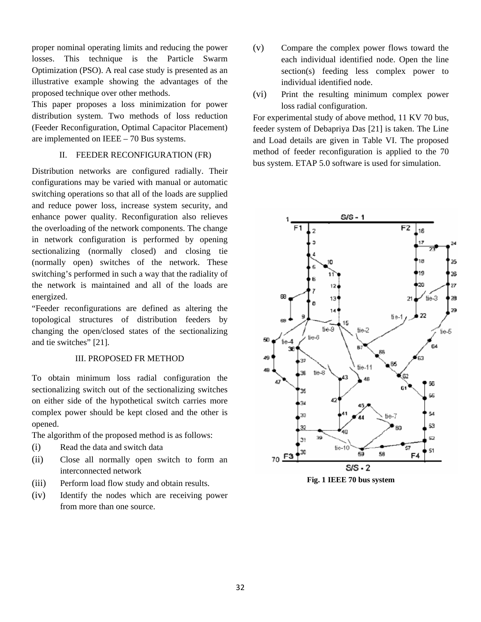proper nominal operating limits and reducing the power losses. This technique is the Particle Swarm Optimization (PSO). A real case study is presented as an illustrative example showing the advantages of the proposed technique over other methods.

This paper proposes a loss minimization for power distribution system. Two methods of loss reduction (Feeder Reconfiguration, Optimal Capacitor Placement) are implemented on IEEE – 70 Bus systems.

## II. FEEDER RECONFIGURATION (FR)

Distribution networks are configured radially. Their configurations may be varied with manual or automatic switching operations so that all of the loads are supplied and reduce power loss, increase system security, and enhance power quality. Reconfiguration also relieves the overloading of the network components. The change in network configuration is performed by opening sectionalizing (normally closed) and closing tie (normally open) switches of the network. These switching's performed in such a way that the radiality of the network is maintained and all of the loads are energized.

"Feeder reconfigurations are defined as altering the topological structures of distribution feeders by changing the open/closed states of the sectionalizing and tie switches" [21].

### III. PROPOSED FR METHOD

To obtain minimum loss radial configuration the sectionalizing switch out of the sectionalizing switches on either side of the hypothetical switch carries more complex power should be kept closed and the other is opened.

The algorithm of the proposed method is as follows:

- (i) Read the data and switch data
- (ii) Close all normally open switch to form an interconnected network
- (iii) Perform load flow study and obtain results.
- (iv) Identify the nodes which are receiving power from more than one source.
- (v) Compare the complex power flows toward the each individual identified node. Open the line section(s) feeding less complex power to individual identified node.
- (vi) Print the resulting minimum complex power loss radial configuration.

For experimental study of above method, 11 KV 70 bus, feeder system of Debapriya Das [21] is taken. The Line and Load details are given in Table VI. The proposed method of feeder reconfiguration is applied to the 70 bus system. ETAP 5.0 software is used for simulation.



**Fig. 1 IEEE 70 bus system**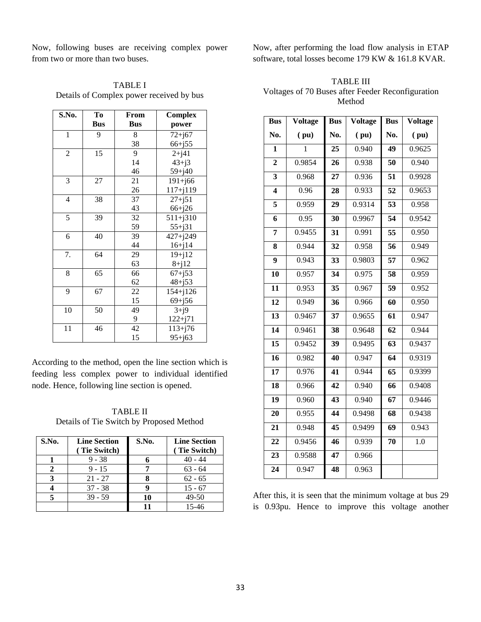Now, following buses are receiving complex power from two or more than two buses.

| <b>TABLE I</b>                           |
|------------------------------------------|
| Details of Complex power received by bus |

| S.No.          | To         | From       | <b>Complex</b> |
|----------------|------------|------------|----------------|
|                | <b>Bus</b> | <b>Bus</b> | power          |
| $\mathbf{1}$   | 9          | 8          | $72 + j67$     |
|                |            | 38         | $66 + j55$     |
| $\overline{2}$ | 15         | 9          | $2 + j41$      |
|                |            | 14         | $43 + j3$      |
|                |            | 46         | $59 + j40$     |
| 3              | 27         | 21         | $191 + j66$    |
|                |            | 26         | $117 + j119$   |
| 4              | 38         | 37         | $27 + j51$     |
|                |            | 43         | $66 + j26$     |
| $\overline{5}$ | 39         | 32         | $511 + j310$   |
|                |            | 59         | $55 + j31$     |
| 6              | 40         | 39         | $427 + j249$   |
|                |            | 44         | $16 + j14$     |
| 7.             | 64         | 29         | $19 + j12$     |
|                |            | 63         | $8+j12$        |
| 8              | 65         | 66         | $67 + j53$     |
|                |            | 62         | $48 + j53$     |
| 9              | 67         | 22         | $154 + j126$   |
|                |            | 15         | $69 + j56$     |
| 10             | 50         | 49         | $3+j9$         |
|                |            | 9          | $122 + j71$    |
| 11             | 46         | 42         | $113 + j76$    |
|                |            | 15         | $95 + j63$     |

According to the method, open the line section which is feeding less complex power to individual identified node. Hence, following line section is opened.

TABLE II Details of Tie Switch by Proposed Method

| S.No. | <b>Line Section</b><br>(Tie Switch) | S.No. | <b>Line Section</b><br>(Tie Switch) |
|-------|-------------------------------------|-------|-------------------------------------|
|       | $9 - 38$                            |       | $40 - 44$                           |
|       | $9 - 15$                            |       | $63 - 64$                           |
| 3     | $21 - 27$                           |       | $62 - 65$                           |
|       | $37 - 38$                           |       | $15 - 67$                           |
| 5     | $39 - 59$                           | 10    | 49-50                               |
|       |                                     | 11    | 15-46                               |

Now, after performing the load flow analysis in ETAP software, total losses become 179 KW & 161.8 KVAR.

TABLE III Voltages of 70 Buses after Feeder Reconfiguration Method

| <b>Bus</b>              | Voltage      | <b>Bus</b><br><b>Voltage</b> |        | <b>Bus</b> | Voltage |
|-------------------------|--------------|------------------------------|--------|------------|---------|
| No.                     | (pu)         | No.                          | (pu)   | No.        | (pu)    |
| 1                       | $\mathbf{1}$ | 25                           | 0.940  | 49         | 0.9625  |
| $\overline{2}$          | 0.9854       | 26                           | 0.938  | 50         | 0.940   |
| $\overline{\mathbf{3}}$ | 0.968        | 27                           | 0.936  | 51         | 0.9928  |
| $\overline{\mathbf{4}}$ | 0.96         | 28                           | 0.933  | 52         | 0.9653  |
| 5                       | 0.959        | 29                           | 0.9314 | 53         | 0.958   |
| 6                       | 0.95         | 30                           | 0.9967 | 54         | 0.9542  |
| 7                       | 0.9455       | 31                           | 0.991  | 55         | 0.950   |
| 8                       | 0.944        | 32                           | 0.958  | 56         | 0.949   |
| 9                       | 0.943        | 33                           | 0.9803 | 57         | 0.962   |
| 10                      | 0.957        | 34                           | 0.975  | 58         | 0.959   |
| 11                      | 0.953        | 35                           | 0.967  | 59         | 0.952   |
| 12                      | 0.949        | 36                           | 0.966  | 60         | 0.950   |
| $\overline{13}$         | 0.9467       | 37                           | 0.9655 | 61         | 0.947   |
| 14                      | 0.9461       | 38                           | 0.9648 | 62         | 0.944   |
| 15                      | 0.9452       | 39                           | 0.9495 | 63         | 0.9437  |
| $\overline{16}$         | 0.982        | 40                           | 0.947  | 64         | 0.9319  |
| 17                      | 0.976        | 41                           | 0.944  | 65         | 0.9399  |
| 18                      | 0.966        | 42                           | 0.940  | 66         | 0.9408  |
| 19                      | 0.960        | 43                           | 0.940  | 67         | 0.9446  |
| 20                      | 0.955        | 44                           | 0.9498 | 68         | 0.9438  |
| 21                      | 0.948        | 45                           | 0.9499 | 69         | 0.943   |
| 22                      | 0.9456       | 46                           | 0.939  | 70         | 1.0     |
| $\overline{23}$         | 0.9588       | 47                           | 0.966  |            |         |
| 24                      | 0.947        | 48                           | 0.963  |            |         |

After this, it is seen that the minimum voltage at bus 29 is 0.93pu. Hence to improve this voltage another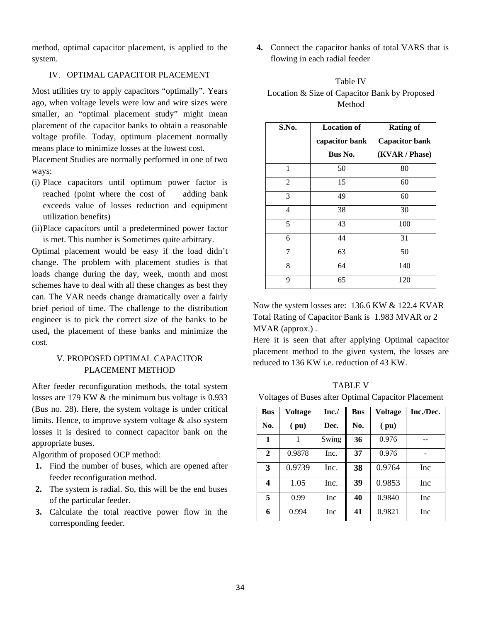method, optimal capacitor placement, is applied to the system.

#### IV. OPTIMAL CAPACITOR PLACEMENT

Most utilities try to apply capacitors "optimally". Years ago, when voltage levels were low and wire sizes were smaller, an "optimal placement study" might mean placement of the capacitor banks to obtain a reasonable voltage profile. Today, optimum placement normally means place to minimize losses at the lowest cost.

Placement Studies are normally performed in one of two ways:

- (i) Place capacitors until optimum power factor is reached (point where the cost of adding bank exceeds value of losses reduction and equipment utilization benefits)
- (ii)Place capacitors until a predetermined power factor is met. This number is Sometimes quite arbitrary.

Optimal placement would be easy if the load didn't change. The problem with placement studies is that loads change during the day, week, month and most schemes have to deal with all these changes as best they can. The VAR needs change dramatically over a fairly brief period of time. The challenge to the distribution engineer is to pick the correct size of the banks to be used**,** the placement of these banks and minimize the cost.

## V. PROPOSED OPTIMAL CAPACITOR PLACEMENT METHOD

After feeder reconfiguration methods, the total system losses are 179 KW & the minimum bus voltage is 0.933 (Bus no. 28). Here, the system voltage is under critical limits. Hence, to improve system voltage & also system losses it is desired to connect capacitor bank on the appropriate buses.

Algorithm of proposed OCP method:

- **1.** Find the number of buses, which are opened after feeder reconfiguration method.
- **2.** The system is radial. So, this will be the end buses of the particular feeder.
- **3.** Calculate the total reactive power flow in the corresponding feeder.

**4.** Connect the capacitor banks of total VARS that is flowing in each radial feeder

| <b>Table IV</b>                               |
|-----------------------------------------------|
| Location & Size of Capacitor Bank by Proposed |
| Method                                        |

| S.No. | <b>Location of</b> | <b>Rating of</b>      |
|-------|--------------------|-----------------------|
|       | capacitor bank     | <b>Capacitor bank</b> |
|       | Bus No.            | (KVAR / Phase)        |
| 1     | 50                 | 80                    |
| 2     | 15                 | 60                    |
| 3     | 49                 | 60                    |
| 4     | 38                 | 30                    |
| 5     | 43                 | 100                   |
| 6     | 44                 | 31                    |
| 7     | 63                 | 50                    |
| 8     | 64                 | 140                   |
| 9     | 65                 | 120                   |

Now the system losses are: 136.6 KW & 122.4 KVAR Total Rating of Capacitor Bank is 1.983 MVAR or 2 MVAR (approx.) .

Here it is seen that after applying Optimal capacitor placement method to the given system, the losses are reduced to 136 KW i.e. reduction of 43 KW.

| <b>TABLE V</b>                                      |  |
|-----------------------------------------------------|--|
| Voltages of Buses after Optimal Capacitor Placement |  |

| <b>Bus</b>   | Voltage | Inc.       | <b>Bus</b> | Voltage | Inc./Dec.  |
|--------------|---------|------------|------------|---------|------------|
| No.          | (pu)    | Dec.       | No.        | (pu)    |            |
| 1            |         | Swing      | 36         | 0.976   |            |
| $\mathbf{2}$ | 0.9878  | Inc.       | 37         | 0.976   |            |
| 3            | 0.9739  | Inc.       | 38         | 0.9764  | Inc        |
| 4            | 1.05    | Inc.       | 39         | 0.9853  | Inc        |
| 5            | 0.99    | <b>Inc</b> | 40         | 0.9840  | <b>Inc</b> |
| 6            | 0.994   | <b>Inc</b> | 41         | 0.9821  | <b>Inc</b> |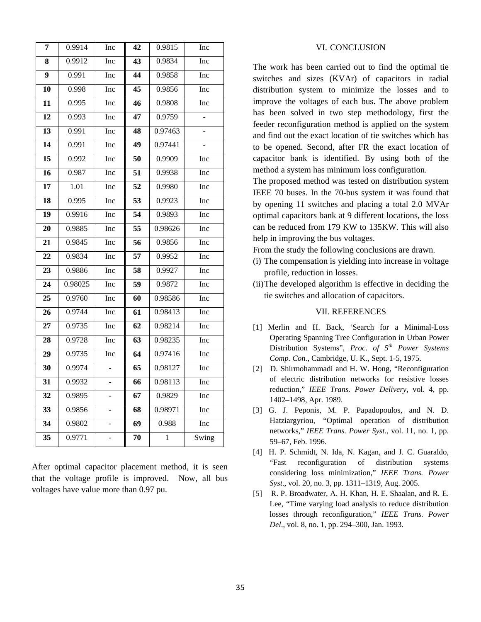| 7               | 0.9914            | Inc                      | 42              | 0.9815       | Inc   |
|-----------------|-------------------|--------------------------|-----------------|--------------|-------|
| 8               | 0.9912            | Inc                      | 43              | 0.9834       | Inc   |
| 9               | 0.991             | Inc                      | 44              | 0.9858       | Inc   |
| 10              | 0.998             | Inc                      | 45              | 0.9856       | Inc   |
| 11              | 0.995             | Inc                      | 46              | 0.9808       | Inc   |
| $\overline{12}$ | 0.993             | Inc                      | 47              | 0.9759       |       |
| 13              | 0.991             | Inc                      | 48              | 0.97463      | ÷,    |
| 14              | 0.991             | Inc                      | 49              | 0.97441      |       |
| 15              | 0.992             | Inc                      | 50              | 0.9909       | Inc   |
| 16              | 0.987             | Inc                      | 51              | 0.9938       | Inc   |
| 17              | $\overline{1.01}$ | Inc                      | $\overline{52}$ | 0.9980       | Inc   |
| 18              | 0.995             | Inc                      | 53              | 0.9923       | Inc   |
| 19              | 0.9916            | Inc                      | 54              | 0.9893       | Inc   |
| $\overline{20}$ | 0.9885            | Inc                      | $\overline{55}$ | 0.98626      | Inc   |
| 21              | 0.9845            | Inc                      | 56              | 0.9856       | Inc   |
| 22              | 0.9834            | Inc                      | 57              | 0.9952       | Inc   |
| 23              | 0.9886            | Inc                      | 58              | 0.9927       | Inc   |
| 24              | 0.98025           | Inc                      | 59              | 0.9872       | Inc   |
| 25              | 0.9760            | Inc                      | 60              | 0.98586      | Inc   |
| 26              | 0.9744            | Inc                      | 61              | 0.98413      | Inc   |
| $\overline{27}$ | 0.9735            | Inc                      | $\overline{62}$ | 0.98214      | Inc   |
| 28              | 0.9728            | Inc                      | 63              | 0.98235      | Inc   |
| 29              | 0.9735            | Inc                      | 64              | 0.97416      | Inc   |
| 30              | 0.9974            | $\overline{\phantom{0}}$ | 65              | 0.98127      | Inc   |
| 31              | 0.9932            |                          | 66              | 0.98113      | Inc   |
| 32              | 0.9895            | $\overline{\phantom{0}}$ | 67              | 0.9829       | Inc   |
| $\overline{33}$ | 0.9856            |                          | 68              | 0.98971      | Inc   |
| $\overline{34}$ | 0.9802            | $\overline{\phantom{0}}$ | 69              | 0.988        | Inc   |
| 35              | 0.9771            | $\frac{1}{2}$            | 70              | $\mathbf{1}$ | Swing |

After optimal capacitor placement method, it is seen that the voltage profile is improved. Now, all bus voltages have value more than 0.97 pu.

#### VI. CONCLUSION

The work has been carried out to find the optimal tie switches and sizes (KVAr) of capacitors in radial distribution system to minimize the losses and to improve the voltages of each bus. The above problem has been solved in two step methodology, first the feeder reconfiguration method is applied on the system and find out the exact location of tie switches which has to be opened. Second, after FR the exact location of capacitor bank is identified. By using both of the method a system has minimum loss configuration.

The proposed method was tested on distribution system IEEE 70 buses. In the 70-bus system it was found that by opening 11 switches and placing a total 2.0 MVAr optimal capacitors bank at 9 different locations, the loss can be reduced from 179 KW to 135KW. This will also help in improving the bus voltages.

From the study the following conclusions are drawn.

- (i) The compensation is yielding into increase in voltage profile, reduction in losses.
- (ii)The developed algorithm is effective in deciding the tie switches and allocation of capacitors.

#### VII. REFERENCES

- [1] Merlin and H. Back, 'Search for a Minimal-Loss Operating Spanning Tree Configuration in Urban Power Distribution Systems", *Proc. of 5th Power Systems Comp. Con.*, Cambridge, U. K., Sept. 1-5, 1975.
- [2] D. Shirmohammadi and H. W. Hong, "Reconfiguration of electric distribution networks for resistive losses reduction," *IEEE Trans. Power Delivery*, vol. 4, pp. 1402–1498, Apr. 1989.
- [3] G. J. Peponis, M. P. Papadopoulos, and N. D. Hatziargyriou, "Optimal operation of distribution networks," *IEEE Trans. Power Syst.*, vol. 11, no. 1, pp. 59–67, Feb. 1996.
- [4] H. P. Schmidt, N. Ida, N. Kagan, and J. C. Guaraldo, "Fast reconfiguration of distribution systems considering loss minimization," *IEEE Trans. Power Syst*., vol. 20, no. 3, pp. 1311–1319, Aug. 2005.
- [5] R. P. Broadwater, A. H. Khan, H. E. Shaalan, and R. E. Lee, "Time varying load analysis to reduce distribution losses through reconfiguration," *IEEE Trans. Power Del*., vol. 8, no. 1, pp. 294–300, Jan. 1993.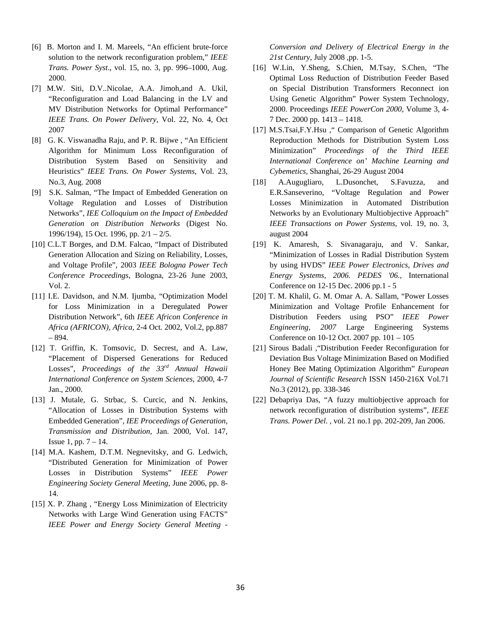- [6] B. Morton and I. M. Mareels, "An efficient brute-force solution to the network reconfiguration problem," *IEEE Trans. Power Syst*., vol. 15, no. 3, pp. 996–1000, Aug. 2000.
- [7] M.W. Siti, D.V..Nicolae, A.A. Jimoh,and A. Ukil, "Reconfiguration and Load Balancing in the LV and MV Distribution Networks for Optimal Performance" *IEEE Trans. On Power Delivery*, Vol. 22, No. 4, Oct 2007
- [8] G. K. Viswanadha Raju, and P. R. Bijwe , "An Efficient Algorithm for Minimum Loss Reconfiguration of Distribution System Based on Sensitivity and Heuristics" *IEEE Trans. On Power Systems*, Vol. 23, No.3, Aug. 2008
- [9] S.K. Salman, "The Impact of Embedded Generation on Voltage Regulation and Losses of Distribution Networks", *IEE Colloquium on the Impact of Embedded Generation on Distribution Networks* (Digest No. 1996/194), 15 Oct. 1996, pp. 2/1 – 2/5.
- [10] C.L.T Borges, and D.M. Falcao, "Impact of Distributed Generation Allocation and Sizing on Reliability, Losses, and Voltage Profile", 2003 *IEEE Bologna Power Tech Conference Proceedings*, Bologna, 23-26 June 2003, Vol. 2.
- [11] I.E. Davidson, and N.M. Ijumba, "Optimization Model" for Loss Minimization in a Deregulated Power Distribution Network", 6th *IEEE Africon Conference in Africa (AFRICON), Africa*, 2-4 Oct. 2002, Vol.2, pp.887 – 894.
- [12] T. Griffin, K. Tomsovic, D. Secrest, and A. Law, "Placement of Dispersed Generations for Reduced Losses", *Proceedings of the 33rd Annual Hawaii International Conference on System Sciences,* 2000, 4-7 Jan., 2000.
- [13] J. Mutale, G. Strbac, S. Curcic, and N. Jenkins, "Allocation of Losses in Distribution Systems with Embedded Generation", *IEE Proceedings of Generation, Transmission and Distribution*, Jan. 2000, Vol. 147, Issue 1, pp.  $7 - 14$ .
- [14] M.A. Kashem, D.T.M. Negnevitsky, and G. Ledwich, "Distributed Generation for Minimization of Power Losses in Distribution Systems" *IEEE Power Engineering Society General Meeting*, June 2006, pp. 8- 14.
- [15] X. P. Zhang , "Energy Loss Minimization of Electricity Networks with Large Wind Generation using FACTS" *IEEE Power and Energy Society General Meeting -*

*Conversion and Delivery of Electrical Energy in the 21st Century*, July 2008 ,pp. 1-5.

- [16] W.Lin, Y.Sheng, S.Chien, M.Tsay, S.Chen, "The Optimal Loss Reduction of Distribution Feeder Based on Special Distribution Transformers Reconnect ion Using Genetic Algorithm" Power System Technology, 2000. Proceedings *IEEE PowerCon 2000*, Volume 3, 4- 7 Dec. 2000 pp. 1413 – 1418.
- [17] M.S.Tsai,F.Y.Hsu ," Comparison of Genetic Algorithm Reproduction Methods for Distribution System Loss Minimization" *Proceedings of the Third IEEE International Conference on' Machine Learning and Cybemetics*, Shanghai, 26-29 August 2004
- [18] A.Augugliaro, L.Dusonchet, S.Favuzza, and E.R.Sanseverino, "Voltage Regulation and Power Losses Minimization in Automated Distribution Networks by an Evolutionary Multiobjective Approach" *IEEE Transactions on Power Systems*, vol. 19, no. 3, august 2004
- [19] K. Amaresh, S. Sivanagaraju, and V. Sankar, "Minimization of Losses in Radial Distribution System by using HVDS" *IEEE Power Electronics, Drives and Energy Systems, 2006. PEDES '06.*, International Conference on 12-15 Dec. 2006 pp.1 - 5
- [20] T. M. Khalil, G. M. Omar A. A. Sallam, "Power Losses Minimization and Voltage Profile Enhancement for Distribution Feeders using PSO" *IEEE Power Engineering, 2007* Large Engineering Systems Conference on 10-12 Oct. 2007 pp. 101 – 105
- [21] Sirous Badali ,"Distribution Feeder Reconfiguration for Deviation Bus Voltage Minimization Based on Modified Honey Bee Mating Optimization Algorithm" *European Journal of Scientific Research* ISSN 1450-216X Vol.71 No.3 (2012), pp. 338-346
- [22] Debapriya Das, "A fuzzy multiobjective approach for network reconfiguration of distribution systems", *IEEE Trans. Power Del*. , vol. 21 no.1 pp. 202-209, Jan 2006.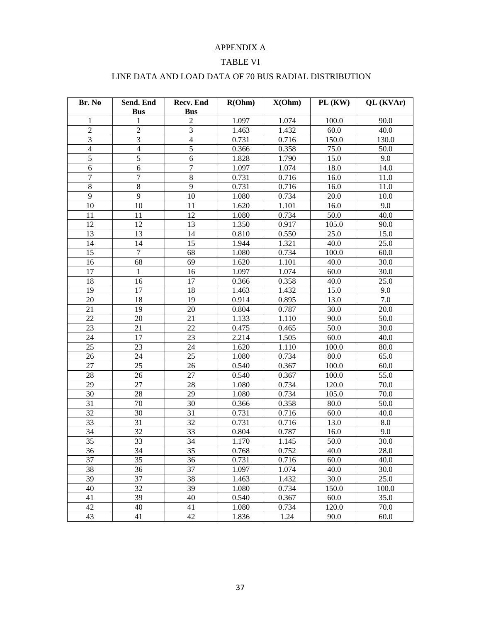## APPENDIX A

## TABLE VI

| Br. No                   | Send. End       | Recv. End                    | R(Ohm) | X(Ohm) | $PL$ (KW) | QL (KVAr) |
|--------------------------|-----------------|------------------------------|--------|--------|-----------|-----------|
| 1                        | <b>Bus</b><br>1 | <b>Bus</b><br>$\overline{c}$ | 1.097  | 1.074  | 100.0     | 90.0      |
| $\overline{2}$           | $\overline{c}$  | 3                            | 1.463  | 1.432  | $60.0\,$  | 40.0      |
| 3                        | 3               | $\overline{4}$               | 0.731  | 0.716  | 150.0     | 130.0     |
| $\overline{\mathcal{A}}$ | $\overline{4}$  | $\overline{5}$               | 0.366  | 0.358  | 75.0      | 50.0      |
| $\overline{5}$           | 5               | 6                            | 1.828  | 1.790  | 15.0      | 9.0       |
| 6                        | 6               | 7                            | 1.097  | 1.074  | 18.0      | 14.0      |
| 7                        | 7               | $\,8\,$                      | 0.731  | 0.716  | 16.0      | 11.0      |
| $8\,$                    | $\,8\,$         | 9                            | 0.731  | 0.716  | 16.0      | 11.0      |
| 9                        | 9               | 10                           | 1.080  | 0.734  | 20.0      | 10.0      |
| 10                       | 10              | 11                           | 1.620  | 1.101  | 16.0      | 9.0       |
| 11                       | 11              | 12                           | 1.080  | 0.734  | 50.0      | 40.0      |
| 12                       | 12              | 13                           | 1.350  | 0.917  | 105.0     | 90.0      |
| 13                       | 13              | 14                           | 0.810  | 0.550  | 25.0      | 15.0      |
| 14                       | 14              | 15                           | 1.944  | 1.321  | 40.0      | 25.0      |
| 15                       | $\tau$          | 68                           | 1.080  | 0.734  | 100.0     | 60.0      |
| 16                       | 68              | 69                           | 1.620  | 1.101  | 40.0      | 30.0      |
| 17                       | 1               | 16                           | 1.097  | 1.074  | 60.0      | 30.0      |
| 18                       | 16              | 17                           | 0.366  | 0.358  | 40.0      | 25.0      |
| 19                       | 17              | 18                           | 1.463  | 1.432  | 15.0      | 9.0       |
| 20                       | 18              | 19                           | 0.914  | 0.895  | 13.0      | 7.0       |
| 21                       | 19              | 20                           | 0.804  | 0.787  | 30.0      | 20.0      |
| 22                       | 20              | 21                           | 1.133  | 1.110  | 90.0      | 50.0      |
| 23                       | 21              | 22                           | 0.475  | 0.465  | 50.0      | 30.0      |
| 24                       | 17              | 23                           | 2.214  | 1.505  | 60.0      | 40.0      |
| 25                       | 23              | 24                           | 1.620  | 1.110  | 100.0     | 80.0      |
| 26                       | 24              | 25                           | 1.080  | 0.734  | 80.0      | 65.0      |
| 27                       | 25              | 26                           | 0.540  | 0.367  | 100.0     | 60.0      |
| 28                       | 26              | 27                           | 0.540  | 0.367  | 100.0     | 55.0      |
| 29                       | 27              | 28                           | 1.080  | 0.734  | 120.0     | 70.0      |
| 30                       | 28              | 29                           | 1.080  | 0.734  | 105.0     | 70.0      |
| 31                       | 70              | 30                           | 0.366  | 0.358  | 80.0      | 50.0      |
| 32                       | 30              | 31                           | 0.731  | 0.716  | 60.0      | 40.0      |
| 33                       | 31              | 32                           | 0.731  | 0.716  | 13.0      | 8.0       |
| 34                       | 32              | 33                           | 0.804  | 0.787  | 16.0      | 9.0       |
| 35                       | 33              | 34                           | 1.170  | 1.145  | 50.0      | 30.0      |
| 36                       | 34              | 35                           | 0.768  | 0.752  | 40.0      | 28.0      |
| 37                       | 35              | 36                           | 0.731  | 0.716  | 60.0      | 40.0      |
| 38                       | 36              | 37                           | 1.097  | 1.074  | 40.0      | 30.0      |
| 39                       | 37              | 38                           | 1.463  | 1.432  | 30.0      | 25.0      |
| 40                       | 32              | 39                           | 1.080  | 0.734  | 150.0     | 100.0     |
| 41                       | 39              | 40                           | 0.540  | 0.367  | 60.0      | 35.0      |
| 42                       | 40              | 41                           | 1.080  | 0.734  | 120.0     | 70.0      |
| 43                       | 41              | 42                           | 1.836  | 1.24   | 90.0      | 60.0      |

# LINE DATA AND LOAD DATA OF 70 BUS RADIAL DISTRIBUTION